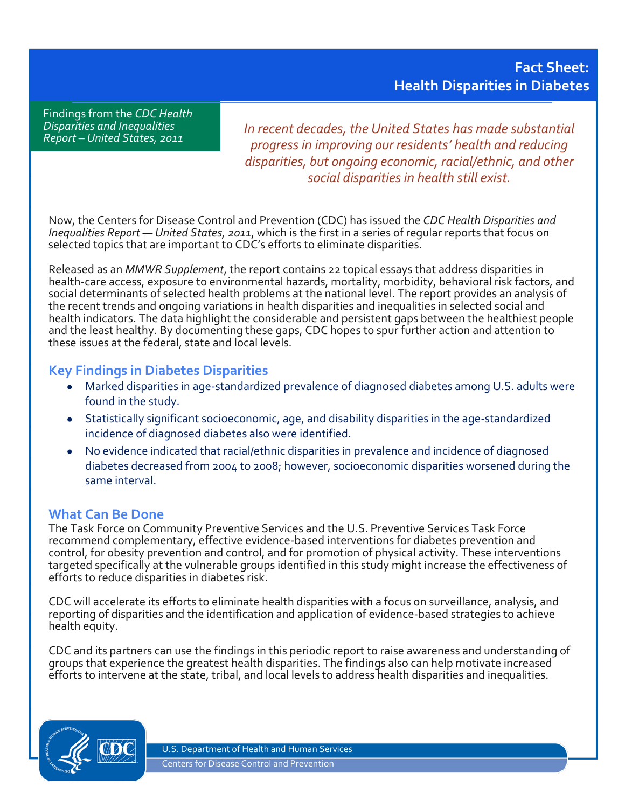Findings from the *CDC Health Disparities and Inequalities Report – United States, 2011*

*In recent decades, the United States has made substantial progress in improving our residents' health and reducing disparities, but ongoing economic, racial/ethnic, and other social disparities in health still exist.*

Now, the Centers for Disease Control and Prevention (CDC) has issued the *CDC Health Disparities and Inequalities Report — United States, 2011*, which is the first in a series of regular reports that focus on selected topics that are important to CDC's efforts to eliminate disparities.

Released as an *MMWR Supplement*, the report contains 22 topical essays that address disparities in health-care access, exposure to environmental hazards, mortality, morbidity, behavioral risk factors, and social determinants of selected health problems at the national level. The report provides an analysis of the recent trends and ongoing variations in health disparities and inequalities in selected social and health indicators. The data highlight the considerable and persistent gaps between the healthiest people and the least healthy. By documenting these gaps, CDC hopes to spur further action and attention to these issues at the federal, state and local levels.

## **Key Findings in Diabetes Disparities**

- Marked disparities in age-standardized prevalence of diagnosed diabetes among U.S. adults were found in the study.
- Statistically significant socioeconomic, age, and disability disparities in the age-standardized incidence of diagnosed diabetes also were identified.
- No evidence indicated that racial/ethnic disparities in prevalence and incidence of diagnosed diabetes decreased from 2004 to 2008; however, socioeconomic disparities worsened during the same interval.

## **What Can Be Done**

The Task Force on Community Preventive Services and the U.S. Preventive Services Task Force recommend complementary, effective evidence-based interventions for diabetes prevention and control, for obesity prevention and control, and for promotion of physical activity. These interventions targeted specifically at the vulnerable groups identified in this study might increase the effectiveness of efforts to reduce disparities in diabetes risk.

CDC will accelerate its efforts to eliminate health disparities with a focus on surveillance, analysis, and reporting of disparities and the identification and application of evidence-based strategies to achieve health equity.

CDC and its partners can use the findings in this periodic report to raise awareness and understanding of groups that experience the greatest health disparities. The findings also can help motivate increased efforts to intervene at the state, tribal, and local levels to address health disparities and inequalities.



U.S. Department of Health and Human Services Centers for Disease Control and Prevention